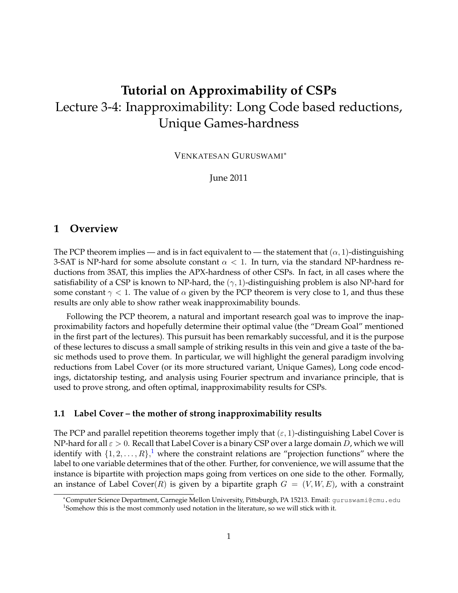# **Tutorial on Approximability of CSPs** Lecture 3-4: Inapproximability: Long Code based reductions, Unique Games-hardness

VENKATESAN GURUSWAMI<sup>∗</sup>

June 2011

## **1 Overview**

The PCP theorem implies — and is in fact equivalent to — the statement that  $(\alpha, 1)$ -distinguishing 3-SAT is NP-hard for some absolute constant  $\alpha < 1$ . In turn, via the standard NP-hardness reductions from 3SAT, this implies the APX-hardness of other CSPs. In fact, in all cases where the satisfiability of a CSP is known to NP-hard, the  $(\gamma, 1)$ -distinguishing problem is also NP-hard for some constant  $\gamma$  < 1. The value of  $\alpha$  given by the PCP theorem is very close to 1, and thus these results are only able to show rather weak inapproximability bounds.

Following the PCP theorem, a natural and important research goal was to improve the inapproximability factors and hopefully determine their optimal value (the "Dream Goal" mentioned in the first part of the lectures). This pursuit has been remarkably successful, and it is the purpose of these lectures to discuss a small sample of striking results in this vein and give a taste of the basic methods used to prove them. In particular, we will highlight the general paradigm involving reductions from Label Cover (or its more structured variant, Unique Games), Long code encodings, dictatorship testing, and analysis using Fourier spectrum and invariance principle, that is used to prove strong, and often optimal, inapproximability results for CSPs.

### **1.1 Label Cover – the mother of strong inapproximability results**

The PCP and parallel repetition theorems together imply that  $(\varepsilon, 1)$ -distinguishing Label Cover is NP-hard for all  $\varepsilon > 0$ . Recall that Label Cover is a binary CSP over a large domain D, which we will identify with  $\{1,2,\ldots,R\}$  $\{1,2,\ldots,R\}$  $\{1,2,\ldots,R\}$ , where the constraint relations are "projection functions" where the label to one variable determines that of the other. Further, for convenience, we will assume that the instance is bipartite with projection maps going from vertices on one side to the other. Formally, an instance of Label Cover(R) is given by a bipartite graph  $G = (V, W, E)$ , with a constraint

<span id="page-0-0"></span><sup>∗</sup>Computer Science Department, Carnegie Mellon University, Pittsburgh, PA 15213. Email: guruswami@cmu.edu  $1$ Somehow this is the most commonly used notation in the literature, so we will stick with it.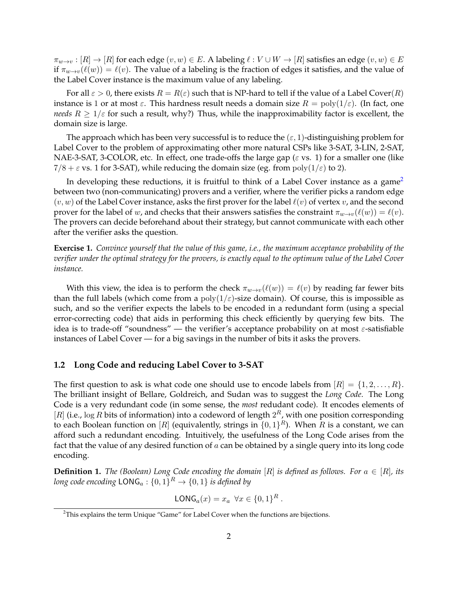$\pi_{w\to v} : [R] \to [R]$  for each edge  $(v, w) \in E$ . A labeling  $\ell : V \cup W \to [R]$  satisfies an edge  $(v, w) \in E$ if  $\pi_{w\to v}(\ell(w)) = \ell(v)$ . The value of a labeling is the fraction of edges it satisfies, and the value of the Label Cover instance is the maximum value of any labeling.

For all  $\varepsilon > 0$ , there exists  $R = R(\varepsilon)$  such that is NP-hard to tell if the value of a Label Cover $(R)$ instance is 1 or at most  $\varepsilon$ . This hardness result needs a domain size  $R = \text{poly}(1/\varepsilon)$ . (In fact, one *needs*  $R \geq 1/\varepsilon$  for such a result, why?) Thus, while the inapproximability factor is excellent, the domain size is large.

The approach which has been very successful is to reduce the  $(\varepsilon, 1)$ -distinguishing problem for Label Cover to the problem of approximating other more natural CSPs like 3-SAT, 3-LIN, 2-SAT, NAE-3-SAT, 3-COLOR, etc. In effect, one trade-offs the large gap ( $\varepsilon$  vs. 1) for a smaller one (like  $7/8 + \varepsilon$  vs. 1 for 3-SAT), while reducing the domain size (eg. from  $poly(1/\varepsilon)$  to 2).

In developing these reductions, it is fruitful to think of a Label Cover instance as a game<sup>[2](#page-1-0)</sup> between two (non-communicating) provers and a verifier, where the verifier picks a random edge  $(v, w)$  of the Label Cover instance, asks the first prover for the label  $\ell(v)$  of vertex v, and the second prover for the label of w, and checks that their answers satisfies the constraint  $\pi_{w\to v}(\ell(w)) = \ell(v)$ . The provers can decide beforehand about their strategy, but cannot communicate with each other after the verifier asks the question.

**Exercise 1.** *Convince yourself that the value of this game, i.e., the maximum acceptance probability of the verifier under the optimal strategy for the provers, is exactly equal to the optimum value of the Label Cover instance.*

With this view, the idea is to perform the check  $\pi_{w\to v}(\ell(w)) = \ell(v)$  by reading far fewer bits than the full labels (which come from a  $poly(1/\varepsilon)$ -size domain). Of course, this is impossible as such, and so the verifier expects the labels to be encoded in a redundant form (using a special error-correcting code) that aids in performing this check efficiently by querying few bits. The idea is to trade-off "soundness" — the verifier's acceptance probability on at most  $\varepsilon$ -satisfiable instances of Label Cover — for a big savings in the number of bits it asks the provers.

#### **1.2 Long Code and reducing Label Cover to 3-SAT**

The first question to ask is what code one should use to encode labels from  $[R] = \{1, 2, \ldots, R\}$ . The brilliant insight of Bellare, Goldreich, and Sudan was to suggest the *Long Code*. The Long Code is a very redundant code (in some sense, the *most* redudant code). It encodes elements of [R] (i.e., log R bits of information) into a codeword of length  $2^R$ , with one position corresponding to each Boolean function on  $[R]$  (equivalently, strings in  $\{0,1\}^R$ ). When  $R$  is a constant, we can afford such a redundant encoding. Intuitively, the usefulness of the Long Code arises from the fact that the value of any desired function of  $a$  can be obtained by a single query into its long code encoding.

**Definition 1.** *The (Boolean) Long Code encoding the domain* [R] *is defined as follows. For*  $a \in [R]$ *, its* long code encoding  $\mathsf{LONG}_a : \{0,1\}^R \to \{0,1\}$  is defined by

$$
\mathsf{LONG}_a(x) = x_a \ \forall x \in \{0,1\}^R.
$$

<span id="page-1-0"></span><sup>&</sup>lt;sup>2</sup>This explains the term Unique "Game" for Label Cover when the functions are bijections.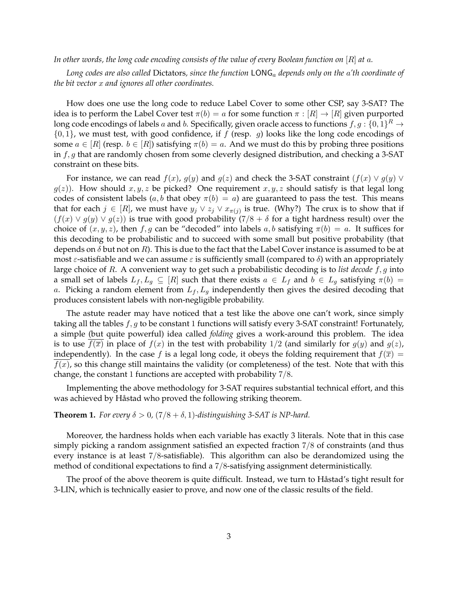#### *In other words, the long code encoding consists of the value of every Boolean function on* [R] *at* a*.*

*Long codes are also called* Dictators*, since the function* LONG<sup>a</sup> *depends only on the* a*'th coordinate of the bit vector* x *and ignores all other coordinates.*

How does one use the long code to reduce Label Cover to some other CSP, say 3-SAT? The idea is to perform the Label Cover test  $\pi(b) = a$  for some function  $\pi : [R] \to [R]$  given purported long code encodings of labels  $a$  and  $b.$  Specifically, given oracle access to functions  $f,g:\{0,1\}^R \to$  $\{0,1\}$ , we must test, with good confidence, if f (resp. g) looks like the long code encodings of some  $a \in [R]$  (resp.  $b \in [R]$ ) satisfying  $\pi(b) = a$ . And we must do this by probing three positions in  $f, g$  that are randomly chosen from some cleverly designed distribution, and checking a 3-SAT constraint on these bits.

For instance, we can read  $f(x)$ ,  $g(y)$  and  $g(z)$  and check the 3-SAT constraint  $(f(x) \vee g(y) \vee g(y))$  $g(z)$ ). How should  $x, y, z$  be picked? One requirement  $x, y, z$  should satisfy is that legal long codes of consistent labels (a, b that obey  $\pi(b) = a$ ) are guaranteed to pass the test. This means that for each  $j \in [R]$ , we must have  $y_j \vee z_j \vee x_{\pi(j)}$  is true. (Why?) The crux is to show that if  $(f(x) \vee g(y) \vee g(z))$  is true with good probability  $(7/8 + \delta$  for a tight hardness result) over the choice of  $(x, y, z)$ , then f, g can be "decoded" into labels a, b satisfying  $\pi(b) = a$ . It suffices for this decoding to be probabilistic and to succeed with some small but positive probability (that depends on  $\delta$  but not on R). This is due to the fact that the Label Cover instance is assumed to be at most  $\varepsilon$ -satisfiable and we can assume  $\varepsilon$  is sufficiently small (compared to  $\delta$ ) with an appropriately large choice of R. A convenient way to get such a probabilistic decoding is to *list decode* f, g into a small set of labels  $L_f, L_g \subseteq [R]$  such that there exists  $a \in L_f$  and  $b \in L_g$  satisfying  $\pi(b) =$ a. Picking a random element from  $L_f$ ,  $L_g$  independently then gives the desired decoding that produces consistent labels with non-negligible probability.

The astute reader may have noticed that a test like the above one can't work, since simply taking all the tables  $f, g$  to be constant 1 functions will satisfy every 3-SAT constraint! Fortunately, a simple (but quite powerful) idea called *folding* gives a work-around this problem. The idea is to use  $f(\overline{x})$  in place of  $f(x)$  in the test with probability 1/2 (and similarly for  $g(y)$  and  $g(z)$ , independently). In the case f is a legal long code, it obeys the folding requirement that  $f(\bar{x}) =$  $f(x)$ , so this change still maintains the validity (or completeness) of the test. Note that with this change, the constant 1 functions are accepted with probability 7/8.

Implementing the above methodology for 3-SAT requires substantial technical effort, and this was achieved by Håstad who proved the following striking theorem.

#### <span id="page-2-0"></span>**Theorem 1.** *For every*  $\delta > 0$ ,  $(7/8 + \delta, 1)$ *-distinguishing* 3-SAT *is* NP-hard.

Moreover, the hardness holds when each variable has exactly 3 literals. Note that in this case simply picking a random assignment satisfied an expected fraction 7/8 of constraints (and thus every instance is at least 7/8-satisfiable). This algorithm can also be derandomized using the method of conditional expectations to find a 7/8-satisfying assignment deterministically.

The proof of the above theorem is quite difficult. Instead, we turn to Hastad's tight result for 3-LIN, which is technically easier to prove, and now one of the classic results of the field.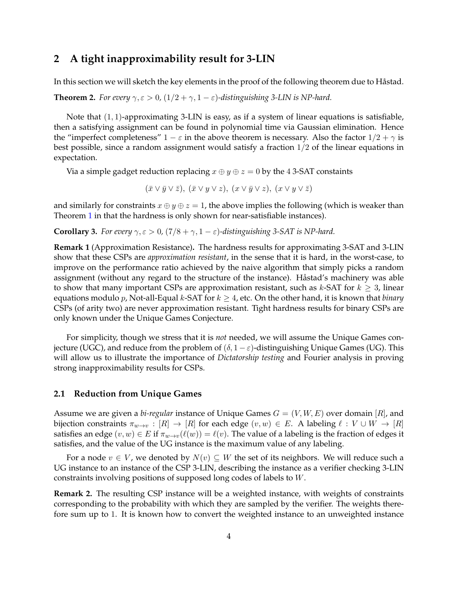# **2 A tight inapproximability result for 3-LIN**

In this section we will sketch the key elements in the proof of the following theorem due to Håstad.

<span id="page-3-0"></span>**Theorem 2.** *For every*  $\gamma$ ,  $\varepsilon > 0$ ,  $(1/2 + \gamma, 1 - \varepsilon)$ -distinguishing 3-LIN is NP-hard.

Note that  $(1, 1)$ -approximating 3-LIN is easy, as if a system of linear equations is satisfiable, then a satisfying assignment can be found in polynomial time via Gaussian elimination. Hence the "imperfect completeness"  $1 - \varepsilon$  in the above theorem is necessary. Also the factor  $1/2 + \gamma$  is best possible, since a random assignment would satisfy a fraction 1/2 of the linear equations in expectation.

Via a simple gadget reduction replacing  $x \oplus y \oplus z = 0$  by the 4 3-SAT constaints

 $(\bar{x} \vee \bar{y} \vee \bar{z}), (\bar{x} \vee y \vee z), (x \vee \bar{y} \vee z), (x \vee y \vee \bar{z})$ 

and similarly for constraints  $x \oplus y \oplus z = 1$ , the above implies the following (which is weaker than Theorem [1](#page-2-0) in that the hardness is only shown for near-satisfiable instances).

**Corollary 3.** *For every*  $\gamma$ ,  $\varepsilon > 0$ ,  $(7/8 + \gamma, 1 - \varepsilon)$ -distinguishing 3-SAT is NP-hard.

**Remark 1** (Approximation Resistance)**.** The hardness results for approximating 3-SAT and 3-LIN show that these CSPs are *approximation resistant*, in the sense that it is hard, in the worst-case, to improve on the performance ratio achieved by the naive algorithm that simply picks a random assignment (without any regard to the structure of the instance). Håstad's machinery was able to show that many important CSPs are approximation resistant, such as  $k$ -SAT for  $k \geq 3$ , linear equations modulo p, Not-all-Equal k-SAT for  $k \geq 4$ , etc. On the other hand, it is known that *binary* CSPs (of arity two) are never approximation resistant. Tight hardness results for binary CSPs are only known under the Unique Games Conjecture.

For simplicity, though we stress that it is *not* needed, we will assume the Unique Games conjecture (UGC), and reduce from the problem of  $(\delta, 1 - \varepsilon)$ -distinguishing Unique Games (UG). This will allow us to illustrate the importance of *Dictatorship testing* and Fourier analysis in proving strong inapproximability results for CSPs.

#### **2.1 Reduction from Unique Games**

Assume we are given a *bi-regular* instance of Unique Games  $G = (V, W, E)$  over domain [R], and bijection constraints  $\pi_{w\to v} : [R] \to [R]$  for each edge  $(v, w) \in E$ . A labeling  $\ell : V \cup W \to [R]$ satisfies an edge  $(v, w) \in E$  if  $\pi_{w \to v}(\ell(w)) = \ell(v)$ . The value of a labeling is the fraction of edges it satisfies, and the value of the UG instance is the maximum value of any labeling.

For a node  $v \in V$ , we denoted by  $N(v) \subseteq W$  the set of its neighbors. We will reduce such a UG instance to an instance of the CSP 3-LIN, describing the instance as a verifier checking 3-LIN constraints involving positions of supposed long codes of labels to W.

**Remark 2.** The resulting CSP instance will be a weighted instance, with weights of constraints corresponding to the probability with which they are sampled by the verifier. The weights therefore sum up to 1. It is known how to convert the weighted instance to an unweighted instance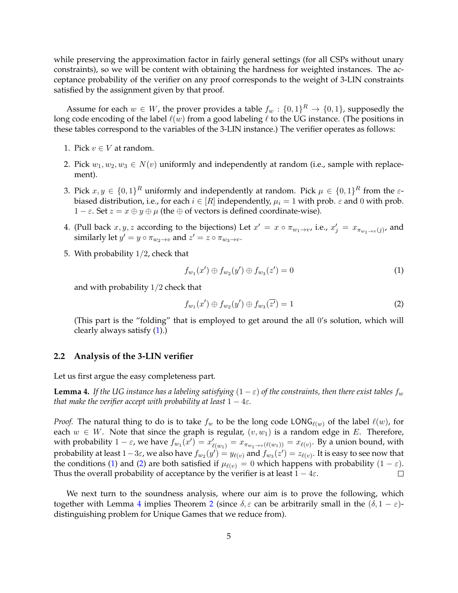while preserving the approximation factor in fairly general settings (for all CSPs without unary constraints), so we will be content with obtaining the hardness for weighted instances. The acceptance probability of the verifier on any proof corresponds to the weight of 3-LIN constraints satisfied by the assignment given by that proof.

Assume for each  $w \in W$ , the prover provides a table  $f_w: \{0,1\}^R \to \{0,1\}$ , supposedly the long code encoding of the label  $\ell(w)$  from a good labeling  $\ell$  to the UG instance. (The positions in these tables correspond to the variables of the 3-LIN instance.) The verifier operates as follows:

- 1. Pick  $v \in V$  at random.
- 2. Pick  $w_1, w_2, w_3 \in N(v)$  uniformly and independently at random (i.e., sample with replacement).
- 3. Pick  $x, y \in \{0,1\}^R$  uniformly and independently at random. Pick  $\mu \in \{0,1\}^R$  from the  $\varepsilon$ biased distribution, i.e., for each  $i \in [R]$  independently,  $\mu_i = 1$  with prob.  $\varepsilon$  and 0 with prob.  $1 - \varepsilon$ . Set  $z = x \oplus y \oplus \mu$  (the  $\oplus$  of vectors is defined coordinate-wise).
- 4. (Pull back  $x, y, z$  according to the bijections) Let  $x' = x \circ \pi_{w_1 \to v}$ , i.e.,  $x'_j = x_{\pi_{w_1 \to v}(j)}$ , and similarly let  $y' = y \circ \pi_{w_2 \to v}$  and  $z' = z \circ \pi_{w_3 \to v}$ .
- 5. With probability 1/2, check that

<span id="page-4-0"></span>
$$
f_{w_1}(x') \oplus f_{w_2}(y') \oplus f_{w_3}(z') = 0 \tag{1}
$$

and with probability 1/2 check that

<span id="page-4-1"></span>
$$
f_{w_1}(x') \oplus f_{w_2}(y') \oplus f_{w_3}(\overline{z'}) = 1
$$
 (2)

(This part is the "folding" that is employed to get around the all 0's solution, which will clearly always satisfy [\(1\)](#page-4-0).)

#### **2.2 Analysis of the 3-LIN verifier**

Let us first argue the easy completeness part.

<span id="page-4-2"></span>**Lemma 4.** *If the UG instance has a labeling satisfying*  $(1 - \varepsilon)$  *of the constraints, then there exist tables*  $f_w$ *that make the verifier accept with probability at least*  $1 - 4\varepsilon$ *.* 

*Proof.* The natural thing to do is to take  $f_w$  to be the long code LONG $_{\ell(w)}$  of the label  $\ell(w)$ , for each  $w \in W$ . Note that since the graph is regular,  $(v, w_1)$  is a random edge in E. Therefore, with probability  $1-\varepsilon$ , we have  $f_{w_1}(x') = x'_{\ell(w_1)} = x_{\pi_{w_1\to v}(\ell(w_1))} = x_{\ell(v)}$ . By a union bound, with probability at least  $1-3\varepsilon$ , we also have  $f_{w_2}(y')=y_{\ell(v)}$  and  $f_{w_3}(z')=z_{\ell(v)}.$  It is easy to see now that the conditions [\(1\)](#page-4-0) and [\(2\)](#page-4-1) are both satisfied if  $\mu_{\ell(v)} = 0$  which happens with probability (1 –  $\varepsilon$ ). Thus the overall probability of acceptance by the verifier is at least  $1 - 4\varepsilon$ .  $\Box$ 

We next turn to the soundness analysis, where our aim is to prove the following, which together with Lemma [4](#page-4-2) implies Theorem [2](#page-3-0) (since  $\delta, \varepsilon$  can be arbitrarily small in the  $(\delta, 1 - \varepsilon)$ distinguishing problem for Unique Games that we reduce from).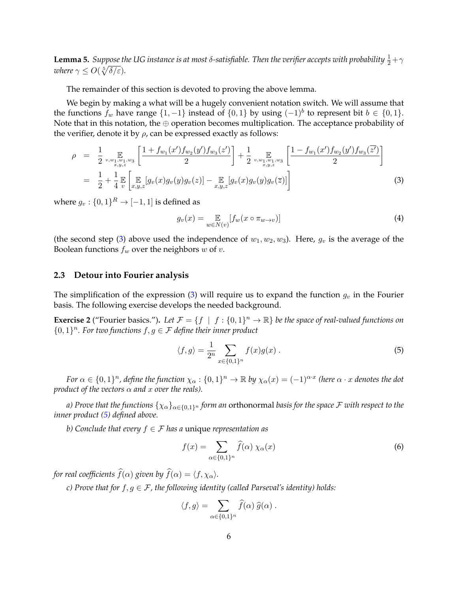<span id="page-5-3"></span> ${\tt Lemma~5.}$  *Suppose the UG instance is at most*  $\delta$ *-satisfiable. Then the verifier accepts with probability*  $\frac{1}{2}+\gamma$ *where*  $\gamma \leq O(\sqrt[5]{\delta/\varepsilon}).$ 

The remainder of this section is devoted to proving the above lemma.

We begin by making a what will be a hugely convenient notation switch. We will assume that the functions  $f_w$  have range  $\{1, -1\}$  instead of  $\{0, 1\}$  by using  $(-1)^b$  to represent bit  $b \in \{0, 1\}$ . Note that in this notation, the ⊕ operation becomes multiplication. The acceptance probability of the verifier, denote it by  $\rho$ , can be expressed exactly as follows:

<span id="page-5-0"></span>
$$
\rho = \frac{1}{2} \max_{\substack{v, w_1, w_1, w_3 \\ x, y, z}} \left[ \frac{1 + f_{w_1}(x') f_{w_2}(y') f_{w_3}(z')}{2} \right] + \frac{1}{2} \max_{\substack{v, w_1, w_1, w_3 \\ x, y, z}} \left[ \frac{1 - f_{w_1}(x') f_{w_2}(y') f_{w_3}(z')}{2} \right]
$$
\n
$$
= \frac{1}{2} + \frac{1}{4} \mathbb{E} \left[ \mathbb{E} \left[ \mathbb{E} \left[ g_v(x) g_v(y) g_v(z) \right] - \mathbb{E} \left[ g_v(x) g_v(y) g_v(z) \right] \right] \right]
$$
\n(3)

where  $g_v: \{0,1\}^R \rightarrow [-1,1]$  is defined as

<span id="page-5-4"></span>
$$
g_v(x) = \mathop{\mathbb{E}}_{w \in N(v)} [f_w(x \circ \pi_{w \to v})]
$$
\n(4)

(the second step [\(3\)](#page-5-0) above used the independence of  $w_1, w_2, w_3$ ). Here,  $g_v$  is the average of the Boolean functions  $f_w$  over the neighbors  $w$  of  $v$ .

#### **2.3 Detour into Fourier analysis**

The simplification of the expression [\(3\)](#page-5-0) will require us to expand the function  $g_v$  in the Fourier basis. The following exercise develops the needed background.

**Exercise 2** ("Fourier basics."). Let  $\mathcal{F} = \{f \mid f : \{0,1\}^n \to \mathbb{R}\}$  be the space of real-valued functions on  ${0, 1}^n$ . For two functions  $f, g \in \mathcal{F}$  define their inner product

<span id="page-5-1"></span>
$$
\langle f, g \rangle = \frac{1}{2^n} \sum_{x \in \{0, 1\}^n} f(x)g(x) . \tag{5}
$$

*For*  $\alpha \in \{0,1\}^n$ , define the function  $\chi_\alpha: \{0,1\}^n \to \mathbb{R}$  by  $\chi_\alpha(x) = (-1)^{\alpha \cdot x}$  (here  $\alpha \cdot x$  denotes the dot *product of the vectors*  $\alpha$  *and*  $x$  *over the reals).* 

*a) Prove that the functions*  $\{\chi_{\alpha}\}_{{\alpha \in \{0,1\}^n}}$  *form an* orthonormal *basis for the space* F *with respect to the inner product [\(5\)](#page-5-1) defined above.*

*b) Conclude that every* f ∈ F *has a* unique *representation as*

<span id="page-5-2"></span>
$$
f(x) = \sum_{\alpha \in \{0,1\}^n} \widehat{f}(\alpha) \ \chi_{\alpha}(x) \tag{6}
$$

*for real coefficients*  $\widehat{f}(\alpha)$  *given by*  $\widehat{f}(\alpha) = \langle f, \chi_{\alpha} \rangle$ *.* 

*c)* Prove that for  $f, g \in \mathcal{F}$ , the following identity (called Parseval's identity) holds:

$$
\langle f, g \rangle = \sum_{\alpha \in \{0,1\}^n} \widehat{f}(\alpha) \widehat{g}(\alpha) .
$$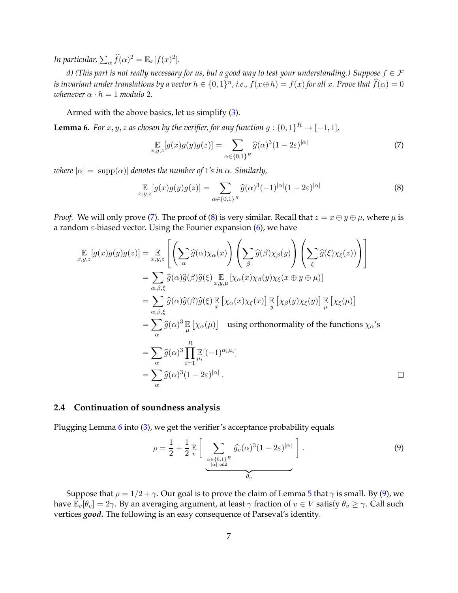*In particular,*  $\sum_{\alpha} \widehat{f}(\alpha)^2 = \mathbb{E}_x[f(x)^2]$ .

*d)* (This part is not really necessary for us, but a good way to test your understanding.) Suppose  $f \in \mathcal{F}$ *is invariant under translations by a vector*  $h \in \{0,1\}^n$ , *i.e.,*  $f(x \oplus h) = f(x)$  *for all x. Prove that*  $\widehat{f}(\alpha) = 0$ *whenever*  $\alpha \cdot h = 1$  *modulo* 2*.* 

Armed with the above basics, let us simplify [\(3\)](#page-5-0).

<span id="page-6-2"></span>**Lemma 6.** *For*  $x, y, z$  *as chosen by the verifier, for any function*  $g: \{0, 1\}^R \rightarrow [-1, 1]$ *,* 

<span id="page-6-0"></span>
$$
\mathop{\mathbb{E}}_{x,y,z}[g(x)g(y)g(z)] = \sum_{\alpha \in \{0,1\}^R} \widehat{g}(\alpha)^3 (1 - 2\varepsilon)^{|\alpha|} \tag{7}
$$

*where*  $|\alpha| = |\text{supp}(\alpha)|$  *denotes the number of* 1*'s in*  $\alpha$ *. Similarly,* 

<span id="page-6-1"></span>
$$
\mathop{\mathbb{E}}_{x,y,z}[g(x)g(y)g(\overline{z})] = \sum_{\alpha \in \{0,1\}^R} \widehat{g}(\alpha)^3(-1)^{|\alpha|}(1-2\varepsilon)^{|\alpha|}
$$
(8)

*Proof.* We will only prove [\(7\)](#page-6-0). The proof of [\(8\)](#page-6-1) is very similar. Recall that  $z = x \oplus y \oplus \mu$ , where  $\mu$  is a random  $\varepsilon$ -biased vector. Using the Fourier expansion [\(6\)](#page-5-2), we have

$$
\mathbb{E}_{x,y,z}[g(x)g(y)g(z)] = \mathbb{E}_{x,y,z}\left[\left(\sum_{\alpha}\hat{g}(\alpha)\chi_{\alpha}(x)\right)\left(\sum_{\beta}\hat{g}(\beta)\chi_{\beta}(y)\right)\left(\sum_{\xi}\hat{g}(\xi)\chi_{\xi}(z))\right)\right]
$$
\n
$$
= \sum_{\alpha,\beta,\xi}\hat{g}(\alpha)\hat{g}(\beta)\hat{g}(\xi)\mathbb{E}_{x,y,\mu}\left[\chi_{\alpha}(x)\chi_{\beta}(y)\chi_{\xi}(x\oplus y\oplus \mu)\right]
$$
\n
$$
= \sum_{\alpha,\beta,\xi}\hat{g}(\alpha)\hat{g}(\beta)\hat{g}(\xi)\mathbb{E}\left[\chi_{\alpha}(x)\chi_{\xi}(x)\right]\mathbb{E}_{y}\left[\chi_{\beta}(y)\chi_{\xi}(y)\right]\mathbb{E}_{\mu}\left[\chi_{\xi}(\mu)\right]
$$
\n
$$
= \sum_{\alpha}\hat{g}(\alpha)^{3}\mathbb{E}_{\mu}\left[\chi_{\alpha}(\mu)\right] \text{ using orthonormality of the functions } \chi_{\alpha}'\text{'s}
$$
\n
$$
= \sum_{\alpha}\hat{g}(\alpha)^{3}\prod_{i=1}^{R}\mathbb{E}[-1]^{\alpha_{i}\mu_{i}}]
$$
\n
$$
= \sum_{\alpha}\hat{g}(\alpha)^{3}(1-2\varepsilon)^{|\alpha|}. \qquad \Box
$$

#### **2.4 Continuation of soundness analysis**

Plugging Lemma [6](#page-6-2) into [\(3\)](#page-5-0), we get the verifier's acceptance probability equals

<span id="page-6-3"></span>
$$
\rho = \frac{1}{2} + \frac{1}{2} \mathbb{E} \left[ \sum_{\substack{\alpha \in \{0,1\}^R \\ |\alpha| \text{ odd}}} \widehat{g_v}(\alpha)^3 (1 - 2\varepsilon)^{|\alpha|} \right]. \tag{9}
$$

Suppose that  $\rho = 1/2 + \gamma$ . Our goal is to prove the claim of Lemma [5](#page-5-3) that  $\gamma$  is small. By [\(9\)](#page-6-3), we have  $\mathbb{E}_v[\theta_v] = 2\gamma$ . By an averaging argument, at least  $\gamma$  fraction of  $v \in V$  satisfy  $\theta_v \ge \gamma$ . Call such vertices *good.* The following is an easy consequence of Parseval's identity.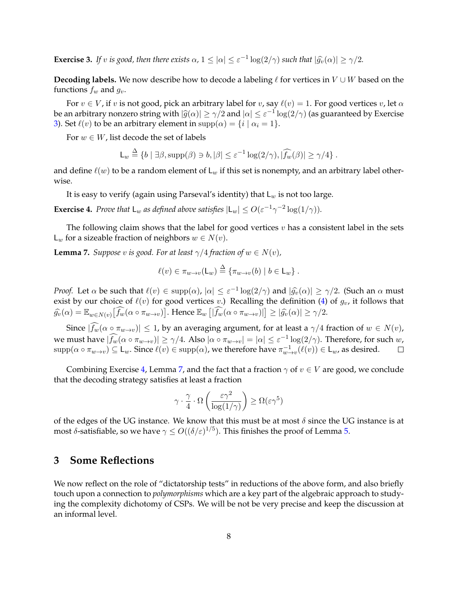<span id="page-7-0"></span>**Exercise 3.** *If v is good, then there exists*  $\alpha$ ,  $1 \leq |\alpha| \leq \varepsilon^{-1} \log(2/\gamma)$  *such that*  $|\widehat{g}_v(\alpha)| \geq \gamma/2$ *.* 

**Decoding labels.** We now describe how to decode a labeling  $\ell$  for vertices in  $V \cup W$  based on the functions  $f_w$  and  $g_v$ .

For  $v \in V$ , if v is not good, pick an arbitrary label for v, say  $\ell(v) = 1$ . For good vertices v, let  $\alpha$ be an arbitrary nonzero string with  $|\hat{g}(\alpha)| \ge \gamma/2$  and  $|\alpha| \le \varepsilon^{-1} \log(2/\gamma)$  (as guaranteed by Exercise [3\)](#page-7-0). Set  $\ell(v)$  to be an arbitrary element in supp $(\alpha) = \{i \mid \alpha_i = 1\}.$ 

For  $w \in W$ , list decode the set of labels

$$
\mathsf{L}_w \stackrel{\Delta}{=} \{b \mid \exists \beta, \text{supp}(\beta) \ni b, |\beta| \leq \varepsilon^{-1} \log(2/\gamma), |\widehat{f_w}(\beta)| \geq \gamma/4\}.
$$

and define  $\ell(w)$  to be a random element of  $L_w$  if this set is nonempty, and an arbitrary label otherwise.

It is easy to verify (again using Parseval's identity) that  $L_w$  is not too large.

<span id="page-7-1"></span>**Exercise 4.** *Prove that*  $L_w$  *as defined above satisfies*  $|L_w| \leq O(\varepsilon^{-1}\gamma^{-2} \log(1/\gamma))$ *.* 

The following claim shows that the label for good vertices  $v$  has a consistent label in the sets  $L_w$  for a sizeable fraction of neighbors  $w \in N(v)$ .

<span id="page-7-2"></span>**Lemma 7.** *Suppose v is good. For at least*  $\gamma/4$  *fraction of*  $w \in N(v)$ *,* 

$$
\ell(v) \in \pi_{w \to v}(\mathsf{L}_w) \stackrel{\Delta}{=} \{ \pi_{w \to v}(b) \mid b \in \mathsf{L}_w \} .
$$

*Proof.* Let  $\alpha$  be such that  $\ell(v) \in \text{supp}(\alpha)$ ,  $|\alpha| \leq \varepsilon^{-1} \log(2/\gamma)$  and  $|\widehat{g}_v(\alpha)| \geq \gamma/2$ . (Such an  $\alpha$  must over the society between  $\ell(\alpha)$  for  $\alpha$  and vertices  $v$ ). Peculiars the definition (4) of  $\alpha$ , it fo exist by our choice of  $\ell(v)$  for good vertices v.) Recalling the definition [\(4\)](#page-5-4) of  $g_v$ , it follows that  $\widehat{g_v}(\alpha) = \mathbb{E}_{w \in N(v)} [\widehat{f_w}(\alpha \circ \pi_{w \to v})]$ . Hence  $\mathbb{E}_w [|\widehat{f_w}(\alpha \circ \pi_{w \to v})|] \ge |\widehat{g_v}(\alpha)| \ge \gamma/2$ .

Since  $|\widehat{f_w}(\alpha \circ \pi_{w \to v})| \leq 1$ , by an averaging argument, for at least a  $\gamma/4$  fraction of  $w \in N(v)$ , we must have  $|\widehat{f_w}(\alpha \circ \pi_{w \to v})| \ge \gamma/4$ . Also  $|\alpha \circ \pi_{w \to v}| = |\alpha| \le \varepsilon^{-1} \log(2/\gamma)$ . Therefore, for such  $w$ ,  $\text{supp}(\alpha \circ \pi_{w \to v}) \subseteq \mathsf{L}_w$ . Since  $\ell(v) \in \text{supp}(\alpha)$ , we therefore have  $\pi_{w \to v}^{-1}(\ell(v)) \in \mathsf{L}_w$ , as desired.  $\Box$ 

Combining Exercise [4,](#page-7-1) Lemma [7,](#page-7-2) and the fact that a fraction  $\gamma$  of  $v \in V$  are good, we conclude that the decoding strategy satisfies at least a fraction

$$
\gamma \cdot \frac{\gamma}{4} \cdot \Omega\left(\frac{\varepsilon \gamma^2}{\log(1/\gamma)}\right) \ge \Omega(\varepsilon \gamma^5)
$$

of the edges of the UG instance. We know that this must be at most  $\delta$  since the UG instance is at most δ-satisfiable, so we have  $\gamma \leq O((\delta/\varepsilon)^{1/5})$ . This finishes the proof of Lemma [5.](#page-5-3)

# **3 Some Reflections**

We now reflect on the role of "dictatorship tests" in reductions of the above form, and also briefly touch upon a connection to *polymorphisms* which are a key part of the algebraic approach to studying the complexity dichotomy of CSPs. We will be not be very precise and keep the discussion at an informal level.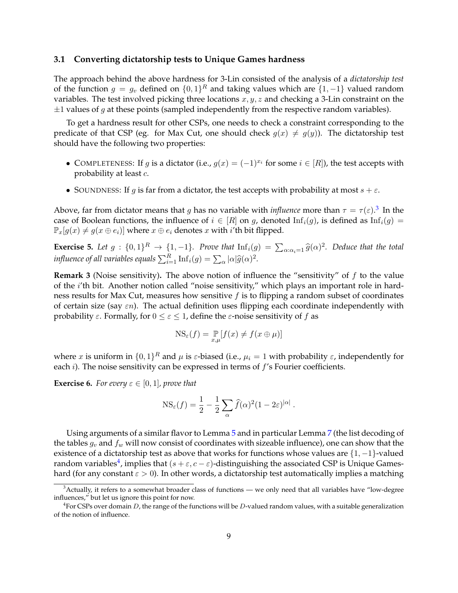#### **3.1 Converting dictatorship tests to Unique Games hardness**

The approach behind the above hardness for 3-Lin consisted of the analysis of a *dictatorship test* of the function  $g = g_v$  defined on  $\{0,1\}^R$  and taking values which are  $\{1,-1\}$  valued random variables. The test involved picking three locations  $x, y, z$  and checking a 3-Lin constraint on the  $\pm$ 1 values of g at these points (sampled independently from the respective random variables).

To get a hardness result for other CSPs, one needs to check a constraint corresponding to the predicate of that CSP (eg. for Max Cut, one should check  $g(x) \neq g(y)$ ). The dictatorship test should have the following two properties:

- COMPLETENESS: If g is a dictator (i.e.,  $g(x) = (-1)^{x_i}$  for some  $i \in [R]$ ), the test accepts with probability at least c.
- SOUNDNESS: If g is far from a dictator, the test accepts with probability at most  $s + \varepsilon$ .

Above, far from dictator means that g has no variable with *influence* more than  $\tau = \tau(\varepsilon)$ .<sup>[3](#page-8-0)</sup> In the case of Boolean functions, the influence of  $i \in [R]$  on g, denoted  $\text{Inf}_i(g)$ , is defined as  $\text{Inf}_i(g)$  $\mathbb{P}_x[g(x) \neq g(x \oplus e_i)]$  where  $x \oplus e_i$  denotes x with *i*'th bit flipped.

**Exercise 5.** Let  $g: \{0,1\}^R \to \{1,-1\}$ . Prove that  $\text{Inf}_i(g) = \sum_{\alpha: \alpha_i=1} \widehat{g}(\alpha)^2$ . Deduce that the total *influence of all variables equals*  $\sum_{i=1}^{R} \text{Inf}_i(g) = \sum_{\alpha} |\alpha| \widehat{g}(\alpha)^2$ .

**Remark 3** (Noise sensitivity). The above notion of influence the "sensitivity" of  $f$  to the value of the i'th bit. Another notion called "noise sensitivity," which plays an important role in hardness results for Max Cut, measures how sensitive  $f$  is to flipping a random subset of coordinates of certain size (say  $\epsilon n$ ). The actual definition uses flipping each coordinate independently with probability  $\varepsilon$ . Formally, for  $0 \le \varepsilon \le 1$ , define the  $\varepsilon$ -noise sensitivity of f as

$$
\mathrm{NS}_{\varepsilon}(f) = \mathop{\mathbb{P}}_{x,\mu}[f(x) \neq f(x \oplus \mu)]
$$

where  $x$  is uniform in  $\{0,1\}^R$  and  $\mu$  is  $\varepsilon$ -biased (i.e.,  $\mu_i = 1$  with probability  $\varepsilon$ , independently for each  $i$ ). The noise sensitivity can be expressed in terms of  $f$ 's Fourier coefficients.

**Exercise 6.** *For every*  $\varepsilon \in [0,1]$ *, prove that* 

$$
NS_{\varepsilon}(f) = \frac{1}{2} - \frac{1}{2} \sum_{\alpha} \widehat{f}(\alpha)^2 (1 - 2\varepsilon)^{|\alpha|}.
$$

Using arguments of a similar flavor to Lemma [5](#page-5-3) and in particular Lemma [7](#page-7-2) (the list decoding of the tables  $g_v$  and  $f_w$  will now consist of coordinates with sizeable influence), one can show that the existence of a dictatorship test as above that works for functions whose values are  $\{1, -1\}$ -valued random variables<sup>[4](#page-8-1)</sup>, implies that  $(s+\varepsilon,c-\varepsilon)$ -distinguishing the associated CSP is Unique Gameshard (for any constant  $\varepsilon > 0$ ). In other words, a dictatorship test automatically implies a matching

<span id="page-8-0"></span> $3$ Actually, it refers to a somewhat broader class of functions — we only need that all variables have "low-degree influences," but let us ignore this point for now.

<span id="page-8-1"></span><sup>&</sup>lt;sup>4</sup> For CSPs over domain D, the range of the functions will be D-valued random values, with a suitable generalization of the notion of influence.